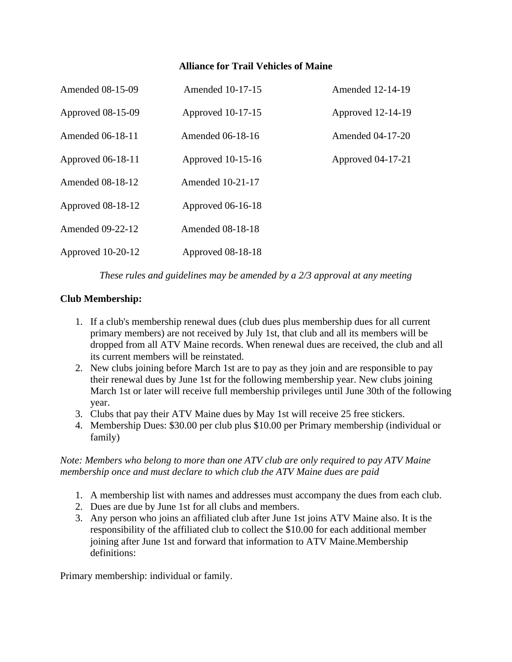### **Alliance for Trail Vehicles of Maine**

| <b>Amended 08-15-09</b> | Amended 10-17-15        | Amended 12-14-19        |
|-------------------------|-------------------------|-------------------------|
| Approved 08-15-09       | Approved 10-17-15       | Approved 12-14-19       |
| Amended 06-18-11        | Amended 06-18-16        | <b>Amended 04-17-20</b> |
| Approved 06-18-11       | Approved 10-15-16       | Approved 04-17-21       |
| <b>Amended 08-18-12</b> | <b>Amended 10-21-17</b> |                         |
| Approved 08-18-12       | Approved 06-16-18       |                         |
| <b>Amended 09-22-12</b> | <b>Amended 08-18-18</b> |                         |
| Approved 10-20-12       | Approved 08-18-18       |                         |

*These rules and guidelines may be amended by a 2/3 approval at any meeting*

## **Club Membership:**

- 1. If a club's membership renewal dues (club dues plus membership dues for all current primary members) are not received by July 1st, that club and all its members will be dropped from all ATV Maine records. When renewal dues are received, the club and all its current members will be reinstated.
- 2. New clubs joining before March 1st are to pay as they join and are responsible to pay their renewal dues by June 1st for the following membership year. New clubs joining March 1st or later will receive full membership privileges until June 30th of the following year.
- 3. Clubs that pay their ATV Maine dues by May 1st will receive 25 free stickers.
- 4. Membership Dues: \$30.00 per club plus \$10.00 per Primary membership (individual or family)

#### *Note: Members who belong to more than one ATV club are only required to pay ATV Maine membership once and must declare to which club the ATV Maine dues are paid*

- 1. A membership list with names and addresses must accompany the dues from each club.
- 2. Dues are due by June 1st for all clubs and members.
- 3. Any person who joins an affiliated club after June 1st joins ATV Maine also. It is the responsibility of the affiliated club to collect the \$10.00 for each additional member joining after June 1st and forward that information to ATV Maine.Membership definitions:

Primary membership: individual or family.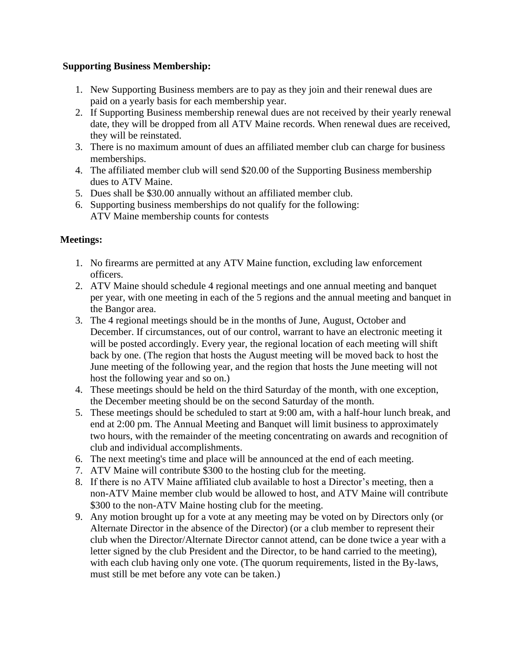### **Supporting Business Membership:**

- 1. New Supporting Business members are to pay as they join and their renewal dues are paid on a yearly basis for each membership year.
- 2. If Supporting Business membership renewal dues are not received by their yearly renewal date, they will be dropped from all ATV Maine records. When renewal dues are received, they will be reinstated.
- 3. There is no maximum amount of dues an affiliated member club can charge for business memberships.
- 4. The affiliated member club will send \$20.00 of the Supporting Business membership dues to ATV Maine.
- 5. Dues shall be \$30.00 annually without an affiliated member club.
- 6. Supporting business memberships do not qualify for the following: ATV Maine membership counts for contests

### **Meetings:**

- 1. No firearms are permitted at any ATV Maine function, excluding law enforcement officers.
- 2. ATV Maine should schedule 4 regional meetings and one annual meeting and banquet per year, with one meeting in each of the 5 regions and the annual meeting and banquet in the Bangor area.
- 3. The 4 regional meetings should be in the months of June, August, October and December. If circumstances, out of our control, warrant to have an electronic meeting it will be posted accordingly. Every year, the regional location of each meeting will shift back by one. (The region that hosts the August meeting will be moved back to host the June meeting of the following year, and the region that hosts the June meeting will not host the following year and so on.)
- 4. These meetings should be held on the third Saturday of the month, with one exception, the December meeting should be on the second Saturday of the month.
- 5. These meetings should be scheduled to start at 9:00 am, with a half-hour lunch break, and end at 2:00 pm. The Annual Meeting and Banquet will limit business to approximately two hours, with the remainder of the meeting concentrating on awards and recognition of club and individual accomplishments.
- 6. The next meeting's time and place will be announced at the end of each meeting.
- 7. ATV Maine will contribute \$300 to the hosting club for the meeting.
- 8. If there is no ATV Maine affiliated club available to host a Director's meeting, then a non-ATV Maine member club would be allowed to host, and ATV Maine will contribute \$300 to the non-ATV Maine hosting club for the meeting.
- 9. Any motion brought up for a vote at any meeting may be voted on by Directors only (or Alternate Director in the absence of the Director) (or a club member to represent their club when the Director/Alternate Director cannot attend, can be done twice a year with a letter signed by the club President and the Director, to be hand carried to the meeting), with each club having only one vote. (The quorum requirements, listed in the By-laws, must still be met before any vote can be taken.)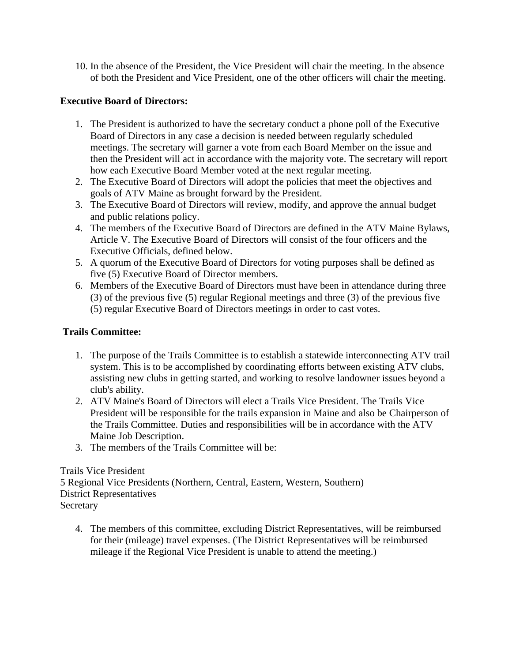10. In the absence of the President, the Vice President will chair the meeting. In the absence of both the President and Vice President, one of the other officers will chair the meeting.

### **Executive Board of Directors:**

- 1. The President is authorized to have the secretary conduct a phone poll of the Executive Board of Directors in any case a decision is needed between regularly scheduled meetings. The secretary will garner a vote from each Board Member on the issue and then the President will act in accordance with the majority vote. The secretary will report how each Executive Board Member voted at the next regular meeting.
- 2. The Executive Board of Directors will adopt the policies that meet the objectives and goals of ATV Maine as brought forward by the President.
- 3. The Executive Board of Directors will review, modify, and approve the annual budget and public relations policy.
- 4. The members of the Executive Board of Directors are defined in the ATV Maine Bylaws, Article V. The Executive Board of Directors will consist of the four officers and the Executive Officials, defined below.
- 5. A quorum of the Executive Board of Directors for voting purposes shall be defined as five (5) Executive Board of Director members.
- 6. Members of the Executive Board of Directors must have been in attendance during three (3) of the previous five (5) regular Regional meetings and three (3) of the previous five (5) regular Executive Board of Directors meetings in order to cast votes.

# **Trails Committee:**

- 1. The purpose of the Trails Committee is to establish a statewide interconnecting ATV trail system. This is to be accomplished by coordinating efforts between existing ATV clubs, assisting new clubs in getting started, and working to resolve landowner issues beyond a club's ability.
- 2. ATV Maine's Board of Directors will elect a Trails Vice President. The Trails Vice President will be responsible for the trails expansion in Maine and also be Chairperson of the Trails Committee. Duties and responsibilities will be in accordance with the ATV Maine Job Description.
- 3. The members of the Trails Committee will be:

# Trails Vice President

5 Regional Vice Presidents (Northern, Central, Eastern, Western, Southern) District Representatives Secretary

4. The members of this committee, excluding District Representatives, will be reimbursed for their (mileage) travel expenses. (The District Representatives will be reimbursed mileage if the Regional Vice President is unable to attend the meeting.)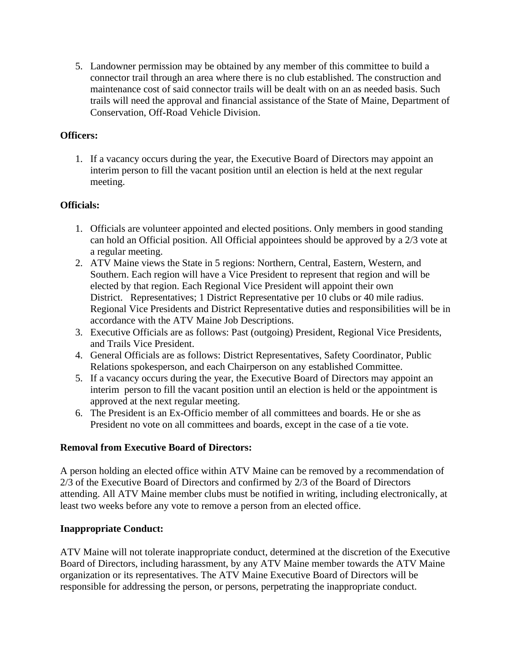5. Landowner permission may be obtained by any member of this committee to build a connector trail through an area where there is no club established. The construction and maintenance cost of said connector trails will be dealt with on an as needed basis. Such trails will need the approval and financial assistance of the State of Maine, Department of Conservation, Off-Road Vehicle Division.

### **Officers:**

1. If a vacancy occurs during the year, the Executive Board of Directors may appoint an interim person to fill the vacant position until an election is held at the next regular meeting.

### **Officials:**

- 1. Officials are volunteer appointed and elected positions. Only members in good standing can hold an Official position. All Official appointees should be approved by a 2/3 vote at a regular meeting.
- 2. ATV Maine views the State in 5 regions: Northern, Central, Eastern, Western, and Southern. Each region will have a Vice President to represent that region and will be elected by that region. Each Regional Vice President will appoint their own District. Representatives; 1 District Representative per 10 clubs or 40 mile radius. Regional Vice Presidents and District Representative duties and responsibilities will be in accordance with the ATV Maine Job Descriptions.
- 3. Executive Officials are as follows: Past (outgoing) President, Regional Vice Presidents, and Trails Vice President.
- 4. General Officials are as follows: District Representatives, Safety Coordinator, Public Relations spokesperson, and each Chairperson on any established Committee.
- 5. If a vacancy occurs during the year, the Executive Board of Directors may appoint an interim person to fill the vacant position until an election is held or the appointment is approved at the next regular meeting.
- 6. The President is an Ex-Officio member of all committees and boards. He or she as President no vote on all committees and boards, except in the case of a tie vote.

### **Removal from Executive Board of Directors:**

A person holding an elected office within ATV Maine can be removed by a recommendation of 2/3 of the Executive Board of Directors and confirmed by 2/3 of the Board of Directors attending. All ATV Maine member clubs must be notified in writing, including electronically, at least two weeks before any vote to remove a person from an elected office.

### **Inappropriate Conduct:**

ATV Maine will not tolerate inappropriate conduct, determined at the discretion of the Executive Board of Directors, including harassment, by any ATV Maine member towards the ATV Maine organization or its representatives. The ATV Maine Executive Board of Directors will be responsible for addressing the person, or persons, perpetrating the inappropriate conduct.